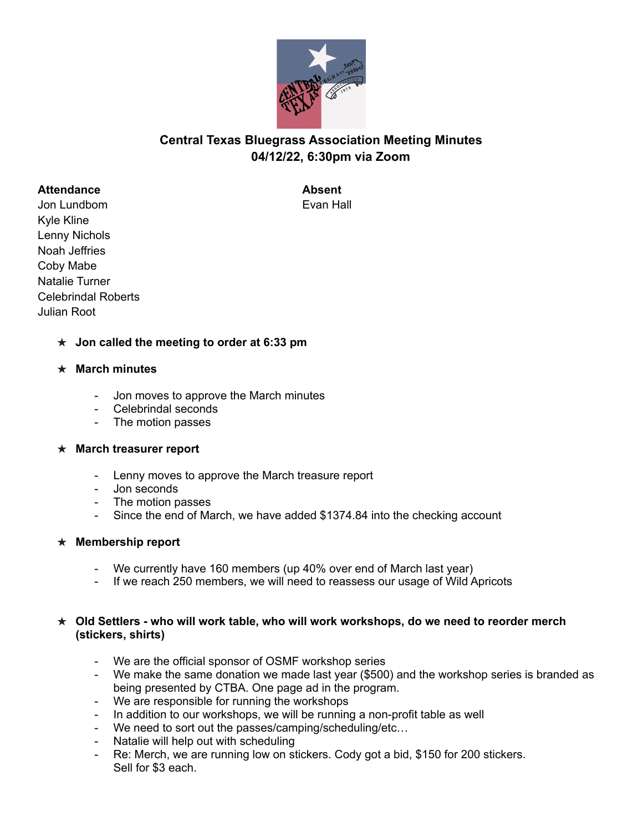

# **Central Texas Bluegrass Association Meeting Minutes 04/12/22, 6:30pm via Zoom**

### **Attendance Absent**

Jon Lundbom Evan Hall Kyle Kline Lenny Nichols Noah Jeffries Coby Mabe Natalie Turner Celebrindal Roberts Julian Root

# ★ **Jon called the meeting to order at 6:33 pm**

# ★ **March minutes**

- Jon moves to approve the March minutes
- Celebrindal seconds
- The motion passes

#### ★ **March treasurer report**

- Lenny moves to approve the March treasure report
- Jon seconds
- The motion passes
- Since the end of March, we have added \$1374.84 into the checking account

# ★ **Membership report**

- We currently have 160 members (up 40% over end of March last year)
- If we reach 250 members, we will need to reassess our usage of Wild Apricots

### ★ **Old Settlers - who will work table, who will work workshops, do we need to reorder merch (stickers, shirts)**

- We are the official sponsor of OSMF workshop series
- We make the same donation we made last year (\$500) and the workshop series is branded as being presented by CTBA. One page ad in the program.
- We are responsible for running the workshops
- In addition to our workshops, we will be running a non-profit table as well
- We need to sort out the passes/camping/scheduling/etc…
- Natalie will help out with scheduling
- Re: Merch, we are running low on stickers. Cody got a bid, \$150 for 200 stickers. Sell for \$3 each.